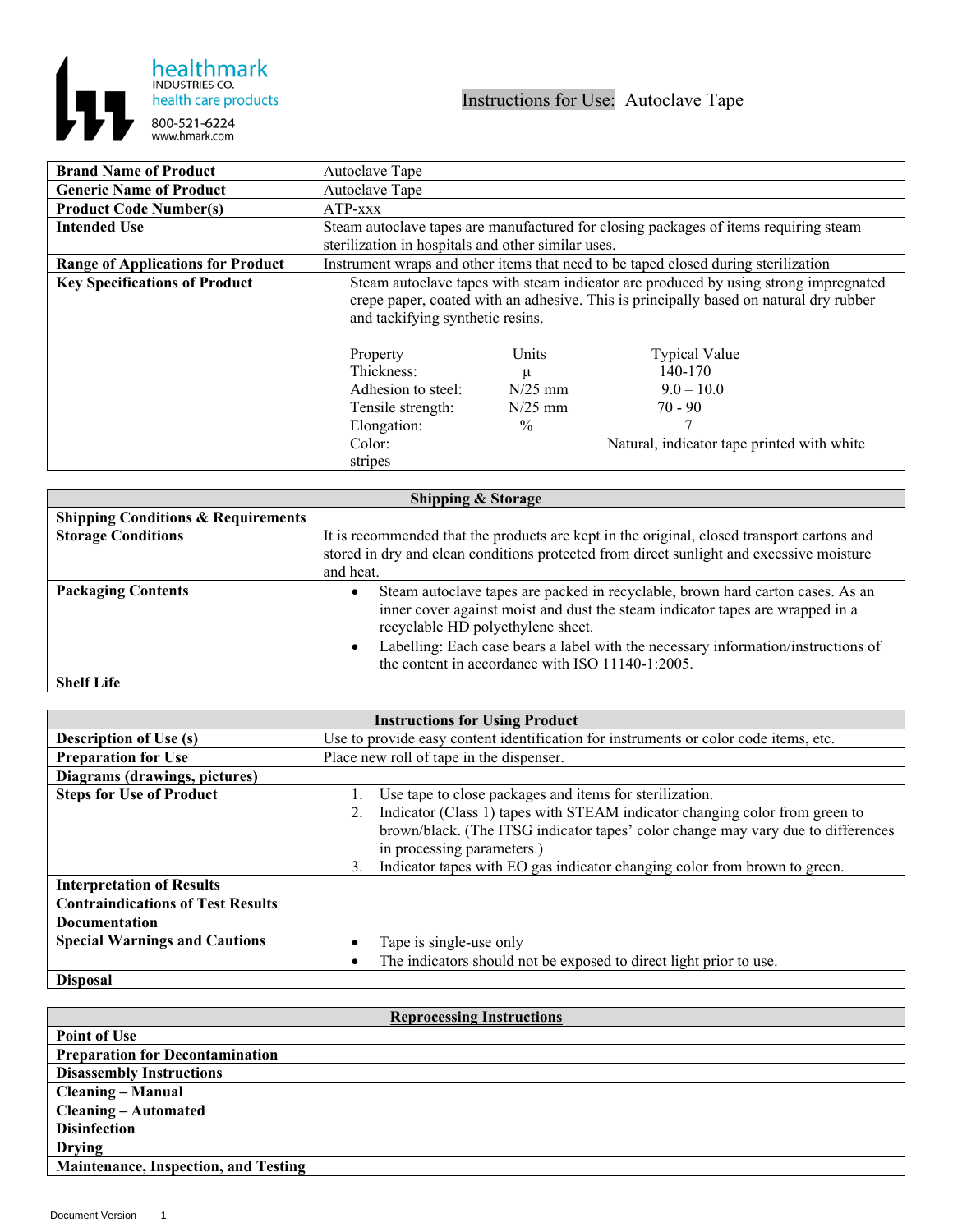

| <b>Brand Name of Product</b>             | Autoclave Tape                                                                                                                                                                                                   |                                                       |                                                                                                            |
|------------------------------------------|------------------------------------------------------------------------------------------------------------------------------------------------------------------------------------------------------------------|-------------------------------------------------------|------------------------------------------------------------------------------------------------------------|
| <b>Generic Name of Product</b>           | Autoclave Tape                                                                                                                                                                                                   |                                                       |                                                                                                            |
| <b>Product Code Number(s)</b>            | $ATP$ -xxx                                                                                                                                                                                                       |                                                       |                                                                                                            |
| <b>Intended Use</b>                      |                                                                                                                                                                                                                  |                                                       | Steam autoclave tapes are manufactured for closing packages of items requiring steam                       |
|                                          | sterilization in hospitals and other similar uses.                                                                                                                                                               |                                                       |                                                                                                            |
| <b>Range of Applications for Product</b> |                                                                                                                                                                                                                  |                                                       | Instrument wraps and other items that need to be taped closed during sterilization                         |
| <b>Key Specifications of Product</b>     | Steam autoclave tapes with steam indicator are produced by using strong impregnated<br>crepe paper, coated with an adhesive. This is principally based on natural dry rubber<br>and tackifying synthetic resins. |                                                       |                                                                                                            |
|                                          | Property<br>Thickness:<br>Adhesion to steel:<br>Tensile strength:<br>Elongation:<br>Color:<br>stripes                                                                                                            | Units<br>μ<br>$N/25$ mm<br>$N/25$ mm<br>$\frac{0}{0}$ | <b>Typical Value</b><br>140-170<br>$9.0 - 10.0$<br>$70 - 90$<br>Natural, indicator tape printed with white |

| <b>Shipping &amp; Storage</b>                 |                                                                                                                                                                                                                                                                                                                                               |  |
|-----------------------------------------------|-----------------------------------------------------------------------------------------------------------------------------------------------------------------------------------------------------------------------------------------------------------------------------------------------------------------------------------------------|--|
| <b>Shipping Conditions &amp; Requirements</b> |                                                                                                                                                                                                                                                                                                                                               |  |
| <b>Storage Conditions</b>                     | It is recommended that the products are kept in the original, closed transport cartons and<br>stored in dry and clean conditions protected from direct sunlight and excessive moisture<br>and heat.                                                                                                                                           |  |
| <b>Packaging Contents</b>                     | Steam autoclave tapes are packed in recyclable, brown hard carton cases. As an<br>inner cover against moist and dust the steam indicator tapes are wrapped in a<br>recyclable HD polyethylene sheet.<br>Labelling: Each case bears a label with the necessary information/instructions of<br>the content in accordance with ISO 11140-1:2005. |  |
| <b>Shelf Life</b>                             |                                                                                                                                                                                                                                                                                                                                               |  |

| <b>Instructions for Using Product</b>    |                                                                                      |  |
|------------------------------------------|--------------------------------------------------------------------------------------|--|
| <b>Description of Use (s)</b>            | Use to provide easy content identification for instruments or color code items, etc. |  |
| <b>Preparation for Use</b>               | Place new roll of tape in the dispenser.                                             |  |
| Diagrams (drawings, pictures)            |                                                                                      |  |
| <b>Steps for Use of Product</b>          | Use tape to close packages and items for sterilization.                              |  |
|                                          | Indicator (Class 1) tapes with STEAM indicator changing color from green to<br>2.    |  |
|                                          | brown/black. (The ITSG indicator tapes' color change may vary due to differences     |  |
|                                          | in processing parameters.)                                                           |  |
|                                          | Indicator tapes with EO gas indicator changing color from brown to green.<br>3.      |  |
| <b>Interpretation of Results</b>         |                                                                                      |  |
| <b>Contraindications of Test Results</b> |                                                                                      |  |
| Documentation                            |                                                                                      |  |
| <b>Special Warnings and Cautions</b>     | Tape is single-use only                                                              |  |
|                                          | The indicators should not be exposed to direct light prior to use.                   |  |
| <b>Disposal</b>                          |                                                                                      |  |

| <b>Reprocessing Instructions</b>            |  |  |
|---------------------------------------------|--|--|
| <b>Point of Use</b>                         |  |  |
| <b>Preparation for Decontamination</b>      |  |  |
| <b>Disassembly Instructions</b>             |  |  |
| <b>Cleaning – Manual</b>                    |  |  |
| <b>Cleaning – Automated</b>                 |  |  |
| <b>Disinfection</b>                         |  |  |
| <b>Drying</b>                               |  |  |
| <b>Maintenance, Inspection, and Testing</b> |  |  |